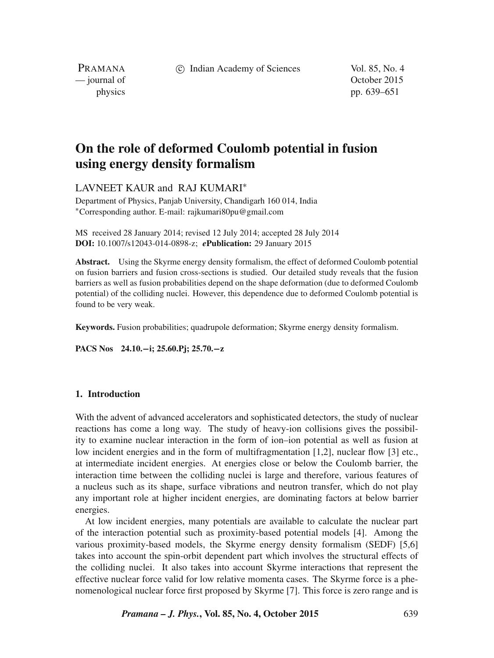(c) Indian Academy of Sciences Vol. 85, No. 4

PRAMANA<br>
— journal of

October 2015 physics pp. 639–651

# **On the role of deformed Coulomb potential in fusion using energy density formalism**

LAVNEET KAUR and RAJ KUMARI∗

Department of Physics, Panjab University, Chandigarh 160 014, India ∗Corresponding author. E-mail: rajkumari80pu@gmail.com

MS received 28 January 2014; revised 12 July 2014; accepted 28 July 2014 **DOI:** 10.1007/s12043-014-0898-z; *e***Publication:** 29 January 2015

**Abstract.** Using the Skyrme energy density formalism, the effect of deformed Coulomb potential on fusion barriers and fusion cross-sections is studied. Our detailed study reveals that the fusion barriers as well as fusion probabilities depend on the shape deformation (due to deformed Coulomb potential) of the colliding nuclei. However, this dependence due to deformed Coulomb potential is found to be very weak.

**Keywords.** Fusion probabilities; quadrupole deformation; Skyrme energy density formalism.

**PACS Nos 24.10.**−**i; 25.60.Pj; 25.70.**−**z**

### **1. Introduction**

With the advent of advanced accelerators and sophisticated detectors, the study of nuclear reactions has come a long way. The study of heavy-ion collisions gives the possibility to examine nuclear interaction in the form of ion–ion potential as well as fusion at low incident energies and in the form of multifragmentation [1,2], nuclear flow [3] etc., at intermediate incident energies. At energies close or below the Coulomb barrier, the interaction time between the colliding nuclei is large and therefore, various features of a nucleus such as its shape, surface vibrations and neutron transfer, which do not play any important role at higher incident energies, are dominating factors at below barrier energies.

At low incident energies, many potentials are available to calculate the nuclear part of the interaction potential such as proximity-based potential models [4]. Among the various proximity-based models, the Skyrme energy density formalism (SEDF) [5,6] takes into account the spin-orbit dependent part which involves the structural effects of the colliding nuclei. It also takes into account Skyrme interactions that represent the effective nuclear force valid for low relative momenta cases. The Skyrme force is a phenomenological nuclear force first proposed by Skyrme [7]. This force is zero range and is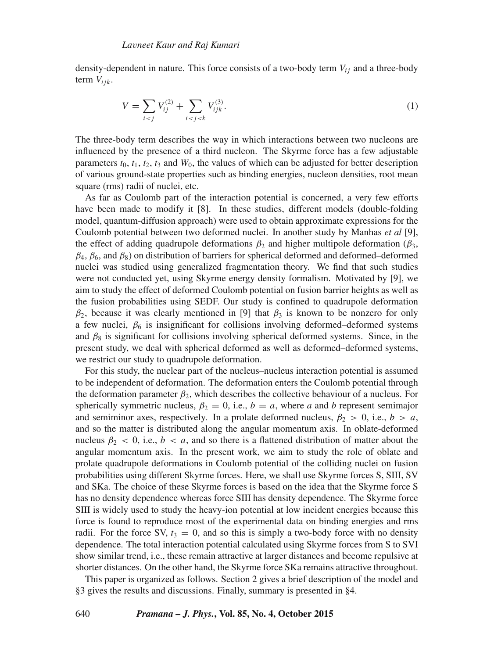density-dependent in nature. This force consists of a two-body term  $V_{ii}$  and a three-body term  $V_{iik}$ .

$$
V = \sum_{i < j} V_{ij}^{(2)} + \sum_{i < j < k} V_{ijk}^{(3)}.\tag{1}
$$

The three-body term describes the way in which interactions between two nucleons are influenced by the presence of a third nucleon. The Skyrme force has a few adjustable parameters  $t_0$ ,  $t_1$ ,  $t_2$ ,  $t_3$  and  $W_0$ , the values of which can be adjusted for better description of various ground-state properties such as binding energies, nucleon densities, root mean square (rms) radii of nuclei, etc.

As far as Coulomb part of the interaction potential is concerned, a very few efforts have been made to modify it [8]. In these studies, different models (double-folding model, quantum-diffusion approach) were used to obtain approximate expressions for the Coulomb potential between two deformed nuclei. In another study by Manhas *et al* [9], the effect of adding quadrupole deformations  $\beta_2$  and higher multipole deformation ( $\beta_3$ ,  $\beta_4$ ,  $\beta_6$ , and  $\beta_8$ ) on distribution of barriers for spherical deformed and deformed–deformed nuclei was studied using generalized fragmentation theory. We find that such studies were not conducted yet, using Skyrme energy density formalism. Motivated by [9], we aim to study the effect of deformed Coulomb potential on fusion barrier heights as well as the fusion probabilities using SEDF. Our study is confined to quadrupole deformation  $\beta_2$ , because it was clearly mentioned in [9] that  $\beta_3$  is known to be nonzero for only a few nuclei,  $\beta_6$  is insignificant for collisions involving deformed–deformed systems and  $\beta_8$  is significant for collisions involving spherical deformed systems. Since, in the present study, we deal with spherical deformed as well as deformed–deformed systems, we restrict our study to quadrupole deformation.

For this study, the nuclear part of the nucleus–nucleus interaction potential is assumed to be independent of deformation. The deformation enters the Coulomb potential through the deformation parameter  $\beta_2$ , which describes the collective behaviour of a nucleus. For spherically symmetric nucleus,  $\beta_2 = 0$ , i.e.,  $b = a$ , where *a* and *b* represent semimajor and semiminor axes, respectively. In a prolate deformed nucleus,  $\beta_2 > 0$ , i.e.,  $b > a$ , and so the matter is distributed along the angular momentum axis. In oblate-deformed nucleus  $\beta_2 < 0$ , i.e.,  $b < a$ , and so there is a flattened distribution of matter about the angular momentum axis. In the present work, we aim to study the role of oblate and prolate quadrupole deformations in Coulomb potential of the colliding nuclei on fusion probabilities using different Skyrme forces. Here, we shall use Skyrme forces S, SIII, SV and SKa. The choice of these Skyrme forces is based on the idea that the Skyrme force S has no density dependence whereas force SIII has density dependence. The Skyrme force SIII is widely used to study the heavy-ion potential at low incident energies because this force is found to reproduce most of the experimental data on binding energies and rms radii. For the force SV,  $t_3 = 0$ , and so this is simply a two-body force with no density dependence. The total interaction potential calculated using Skyrme forces from S to SVI show similar trend, i.e., these remain attractive at larger distances and become repulsive at shorter distances. On the other hand, the Skyrme force SKa remains attractive throughout.

This paper is organized as follows. Section 2 gives a brief description of the model and §3 gives the results and discussions. Finally, summary is presented in §4.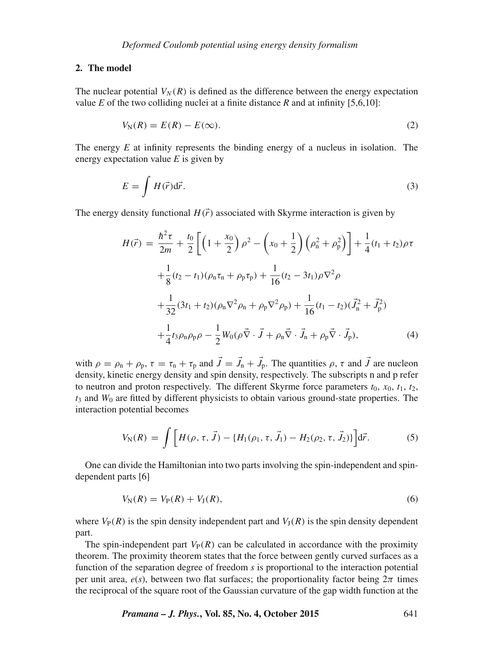#### **2. The model**

The nuclear potential  $V_N(R)$  is defined as the difference between the energy expectation value *E* of the two colliding nuclei at a finite distance *R* and at infinity [5,6,10]:

$$
V_{\rm N}(R) = E(R) - E(\infty). \tag{2}
$$

The energy *E* at infinity represents the binding energy of a nucleus in isolation. The energy expectation value *E* is given by

$$
E = \int H(\vec{r})d\vec{r}.\tag{3}
$$

The energy density functional  $H(\vec{r})$  associated with Skyrme interaction is given by

$$
H(\vec{r}) = \frac{\hbar^2 \tau}{2m} + \frac{t_0}{2} \left[ \left( 1 + \frac{x_0}{2} \right) \rho^2 - \left( x_0 + \frac{1}{2} \right) \left( \rho_n^2 + \rho_p^2 \right) \right] + \frac{1}{4} (t_1 + t_2) \rho \tau
$$
  
+ 
$$
\frac{1}{8} (t_2 - t_1) (\rho_n \tau_n + \rho_p \tau_p) + \frac{1}{16} (t_2 - 3t_1) \rho \nabla^2 \rho
$$
  
+ 
$$
\frac{1}{32} (3t_1 + t_2) (\rho_n \nabla^2 \rho_n + \rho_p \nabla^2 \rho_p) + \frac{1}{16} (t_1 - t_2) (\vec{J}_n^2 + \vec{J}_p^2)
$$
  
+ 
$$
\frac{1}{4} t_3 \rho_n \rho_p \rho - \frac{1}{2} W_0 (\rho \vec{\nabla} \cdot \vec{J} + \rho_n \vec{\nabla} \cdot \vec{J}_n + \rho_p \vec{\nabla} \cdot \vec{J}_p), \tag{4}
$$

with  $\rho = \rho_{\rm n} + \rho_{\rm p}$ ,  $\tau = \tau_{\rm n} + \tau_{\rm p}$  and  $J = J_{\rm n} + J_{\rm p}$ . The quantities  $\rho$ ,  $\tau$  and  $J$  are nucleon density, kinetic energy density and spin density, respectively. The subscripts n and p refer to neutron and proton respectively. The different Skyrme force parameters  $t_0$ ,  $x_0$ ,  $t_1$ ,  $t_2$ ,  $t_3$  and  $W_0$  are fitted by different physicists to obtain various ground-state properties. The interaction potential becomes

$$
V_{\rm N}(R) = \int \left[ H(\rho, \tau, \vec{J}) - \{H_1(\rho_1, \tau, \vec{J}_1) - H_2(\rho_2, \tau, \vec{J}_2) \} \right] d\vec{r}.
$$
 (5)

One can divide the Hamiltonian into two parts involving the spin-independent and spindependent parts [6]

$$
V_{N}(R) = V_{P}(R) + V_{J}(R),
$$
\n(6)

where  $V_P(R)$  is the spin density independent part and  $V_I(R)$  is the spin density dependent part.

The spin-independent part  $V_P(R)$  can be calculated in accordance with the proximity theorem. The proximity theorem states that the force between gently curved surfaces as a function of the separation degree of freedom *s* is proportional to the interaction potential per unit area,  $e(s)$ , between two flat surfaces; the proportionality factor being  $2\pi$  times the reciprocal of the square root of the Gaussian curvature of the gap width function at the

*Pramana – J. Phys.***, Vol. 85, No. 4, October 2015** 641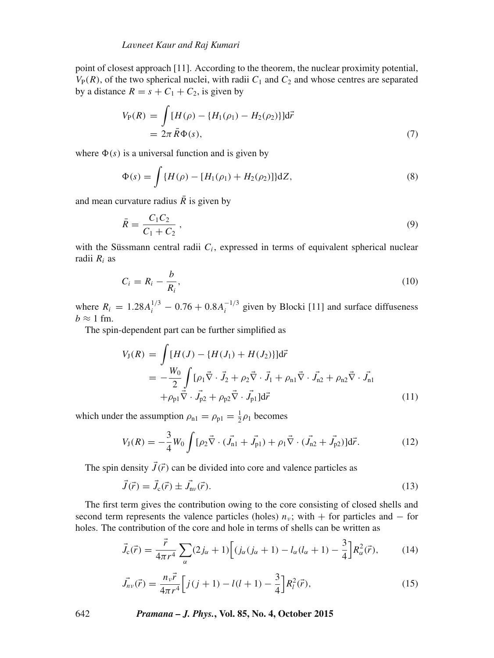point of closest approach [11]. According to the theorem, the nuclear proximity potential,  $V_P(R)$ , of the two spherical nuclei, with radii  $C_1$  and  $C_2$  and whose centres are separated by a distance  $R = s + C_1 + C_2$ , is given by

$$
V_{P}(R) = \int [H(\rho) - \{H_{1}(\rho_{1}) - H_{2}(\rho_{2})\}]d\vec{r}
$$
  
=  $2\pi \bar{R}\Phi(s)$ , (7)

where  $\Phi(s)$  is a universal function and is given by

$$
\Phi(s) = \int \{H(\rho) - [H_1(\rho_1) + H_2(\rho_2)]\} dZ,\tag{8}
$$

and mean curvature radius  $\overline{R}$  is given by

$$
\bar{R} = \frac{C_1 C_2}{C_1 + C_2},\tag{9}
$$

with the Süssmann central radii  $C_i$ , expressed in terms of equivalent spherical nuclear radii  $R_i$  as

$$
C_i = R_i - \frac{b}{R_i},\tag{10}
$$

where  $R_i = 1.28A_i^{1/3} - 0.76 + 0.8A_i^{-1/3}$  given by Blocki [11] and surface diffuseness  $b \approx 1$  fm.

The spin-dependent part can be further simplified as

$$
V_{J}(R) = \int [H(J) - \{H(J_{1}) + H(J_{2})\}]d\vec{r}
$$
  
= 
$$
-\frac{W_{0}}{2} \int [\rho_{1}\vec{\nabla} \cdot \vec{J}_{2} + \rho_{2}\vec{\nabla} \cdot \vec{J}_{1} + \rho_{n1}\vec{\nabla} \cdot \vec{J}_{n2} + \rho_{n2}\vec{\nabla} \cdot \vec{J}_{n1}
$$

$$
+ \rho_{p1}\vec{\nabla} \cdot \vec{J}_{p2} + \rho_{p2}\vec{\nabla} \cdot \vec{J}_{p1}]d\vec{r}
$$
(11)

which under the assumption  $\rho_{n1} = \rho_{p1} = \frac{1}{2}\rho_1$  becomes

$$
V_{\mathcal{J}}(R) = -\frac{3}{4}W_0 \int [\rho_2 \vec{\nabla} \cdot (\vec{J}_{\mathbf{n}1} + \vec{J}_{\mathbf{p}1}) + \rho_1 \vec{\nabla} \cdot (\vec{J}_{\mathbf{n}2} + \vec{J}_{\mathbf{p}2})] d\vec{r}.
$$
 (12)

The spin density  $\vec{J}(\vec{r})$  can be divided into core and valence particles as

$$
\vec{J}(\vec{r}) = \vec{J}_{c}(\vec{r}) \pm \vec{J}_{nv}(\vec{r}).
$$
\n(13)

The first term gives the contribution owing to the core consisting of closed shells and second term represents the valence particles (holes)  $n<sub>v</sub>$ ; with + for particles and – for holes. The contribution of the core and hole in terms of shells can be written as

$$
\vec{J}_{c}(\vec{r}) = \frac{\vec{r}}{4\pi r^{4}} \sum_{\alpha} (2j_{\alpha} + 1) \Big[ (j_{\alpha}(j_{\alpha} + 1) - l_{\alpha}(l_{\alpha} + 1) - \frac{3}{4} \Big] R_{\alpha}^{2}(\vec{r}), \tag{14}
$$

$$
\vec{J}_{n\nu}(\vec{r}) = \frac{n_{\nu}\vec{r}}{4\pi r^4} \left[ j(j+1) - l(l+1) - \frac{3}{4} \right] R_l^2(\vec{r}),\tag{15}
$$

642 *Pramana – J. Phys.***, Vol. 85, No. 4, October 2015**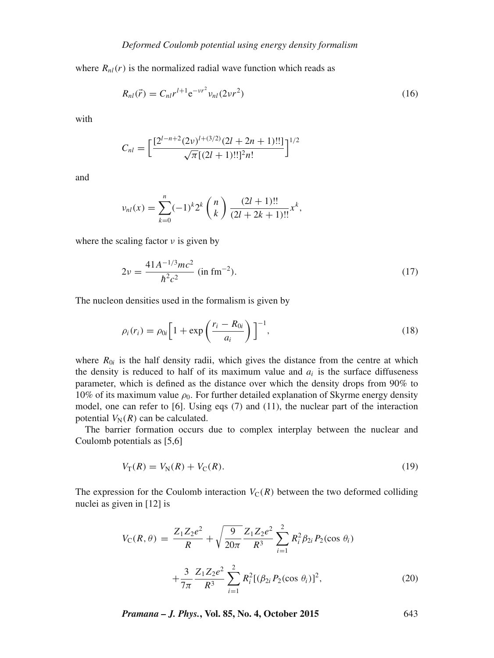where  $R_{nl}(r)$  is the normalized radial wave function which reads as

$$
R_{nl}(\vec{r}) = C_{nl}r^{l+1}e^{-\nu r^2}v_{nl}(2\nu r^2)
$$
\n(16)

with

$$
C_{nl} = \left[\frac{[2^{l-n+2}(2\nu)^{l+(3/2)}(2l+2n+1)!!]}{\sqrt{\pi}[(2l+1)!!]^2n!}\right]^{1/2}
$$

and

$$
\nu_{nl}(x) = \sum_{k=0}^{n} (-1)^k 2^k \binom{n}{k} \frac{(2l+1)!!}{(2l+2k+1)!!} x^k,
$$

where the scaling factor  $\nu$  is given by

$$
2\nu = \frac{41A^{-1/3}mc^2}{\hbar^2c^2}
$$
 (in fm<sup>-2</sup>). (17)

The nucleon densities used in the formalism is given by

$$
\rho_i(r_i) = \rho_{0i} \left[ 1 + \exp\left(\frac{r_i - R_{0i}}{a_i}\right) \right]^{-1},\tag{18}
$$

where  $R_{0i}$  is the half density radii, which gives the distance from the centre at which the density is reduced to half of its maximum value and  $a_i$  is the surface diffuseness parameter, which is defined as the distance over which the density drops from 90% to 10% of its maximum value  $\rho_0$ . For further detailed explanation of Skyrme energy density model, one can refer to [6]. Using eqs (7) and (11), the nuclear part of the interaction potential  $V_N(R)$  can be calculated.

The barrier formation occurs due to complex interplay between the nuclear and Coulomb potentials as [5,6]

$$
V_{\rm T}(R) = V_{\rm N}(R) + V_{\rm C}(R). \tag{19}
$$

The expression for the Coulomb interaction  $V_C(R)$  between the two deformed colliding nuclei as given in [12] is

$$
V_{\rm C}(R,\theta) = \frac{Z_1 Z_2 e^2}{R} + \sqrt{\frac{9}{20\pi}} \frac{Z_1 Z_2 e^2}{R^3} \sum_{i=1}^2 R_i^2 \beta_{2i} P_2(\cos \theta_i)
$$

$$
+ \frac{3}{7\pi} \frac{Z_1 Z_2 e^2}{R^3} \sum_{i=1}^2 R_i^2 [(\beta_{2i} P_2(\cos \theta_i)]^2,
$$
(20)

*Pramana – J. Phys.***, Vol. 85, No. 4, October 2015** 643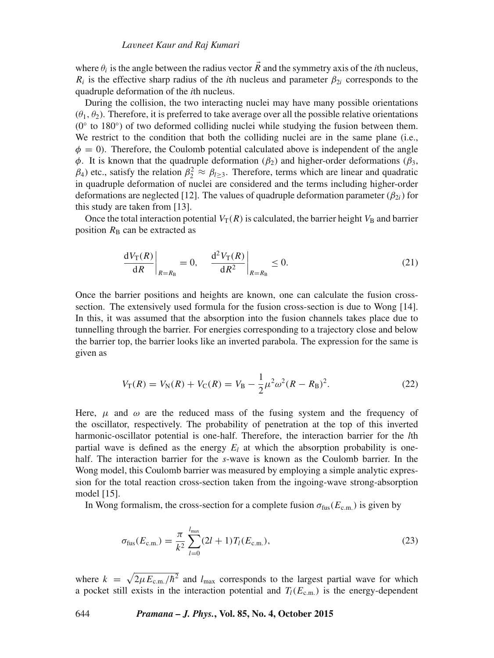where  $\theta_i$  is the angle between the radius vector R and the symmetry axis of the *i*th nucleus,  $R_i$  is the effective sharp radius of the *i*th nucleus and parameter  $\beta_{2i}$  corresponds to the quadruple deformation of the *i*th nucleus.

During the collision, the two interacting nuclei may have many possible orientations  $(\theta_1, \theta_2)$ . Therefore, it is preferred to take average over all the possible relative orientations  $(0°$  to 180°) of two deformed colliding nuclei while studying the fusion between them. We restrict to the condition that both the colliding nuclei are in the same plane (i.e.,  $\phi = 0$ ). Therefore, the Coulomb potential calculated above is independent of the angle  $\phi$ . It is known that the quadruple deformation ( $\beta_2$ ) and higher-order deformations ( $\beta_3$ ,  $β_1$ ) etc., satisfy the relation  $β_2^2 ≈ β_{1 \ge 3}$ . Therefore, terms which are linear and quadratic in quadruple deformation of nuclei are considered and the terms including higher-order deformations are neglected [12]. The values of quadruple deformation parameter  $(\beta_{2i})$  for this study are taken from [13].

Once the total interaction potential  $V_T(R)$  is calculated, the barrier height  $V_B$  and barrier position  $R_B$  can be extracted as

$$
\left. \frac{\mathrm{d}V_{\mathrm{T}}(R)}{\mathrm{d}R} \right|_{R=R_{\mathrm{B}}} = 0, \quad \left. \frac{\mathrm{d}^2 V_{\mathrm{T}}(R)}{\mathrm{d}R^2} \right|_{R=R_{\mathrm{B}}} \le 0. \tag{21}
$$

Once the barrier positions and heights are known, one can calculate the fusion crosssection. The extensively used formula for the fusion cross-section is due to Wong [14]. In this, it was assumed that the absorption into the fusion channels takes place due to tunnelling through the barrier. For energies corresponding to a trajectory close and below the barrier top, the barrier looks like an inverted parabola. The expression for the same is given as

$$
V_{\rm T}(R) = V_{\rm N}(R) + V_{\rm C}(R) = V_{\rm B} - \frac{1}{2}\mu^2 \omega^2 (R - R_{\rm B})^2. \tag{22}
$$

Here,  $\mu$  and  $\omega$  are the reduced mass of the fusing system and the frequency of the oscillator, respectively. The probability of penetration at the top of this inverted harmonic-oscillator potential is one-half. Therefore, the interaction barrier for the *l*th partial wave is defined as the energy  $E_l$  at which the absorption probability is onehalf. The interaction barrier for the *s*-wave is known as the Coulomb barrier. In the Wong model, this Coulomb barrier was measured by employing a simple analytic expression for the total reaction cross-section taken from the ingoing-wave strong-absorption model [15].

In Wong formalism, the cross-section for a complete fusion  $\sigma_{fus}(E_{c.m.})$  is given by

$$
\sigma_{\text{fus}}(E_{\text{c.m.}}) = \frac{\pi}{k^2} \sum_{l=0}^{l_{\text{max}}} (2l+1) T_l(E_{\text{c.m.}}),
$$
\n(23)

where  $k = \sqrt{2\mu E_{\text{c.m.}}/\hbar^2}$  and  $l_{\text{max}}$  corresponds to the largest partial wave for which a pocket still exists in the interaction potential and  $T_l(E_{c.m.})$  is the energy-dependent

644 *Pramana – J. Phys.***, Vol. 85, No. 4, October 2015**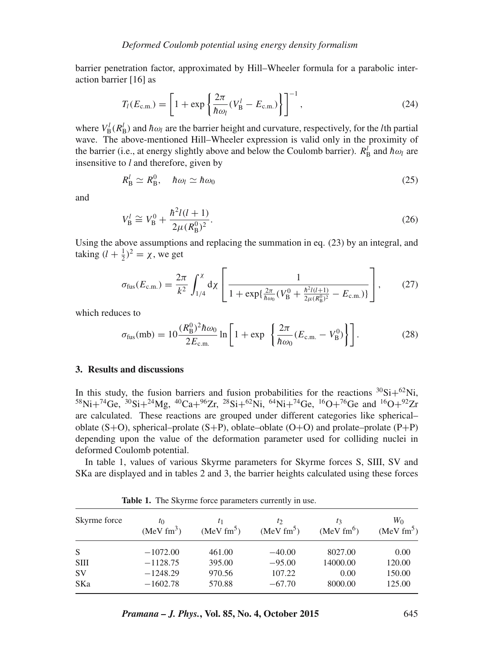barrier penetration factor, approximated by Hill–Wheeler formula for a parabolic interaction barrier [16] as

$$
T_l(E_{c.m.}) = \left[1 + \exp\left\{\frac{2\pi}{\hbar\omega_l}(V_{\rm B}^l - E_{c.m.})\right\}\right]^{-1},\tag{24}
$$

where  $V_{\text{B}}^{l}(R_{\text{B}}^{l})$  and  $\hbar \omega_{l}$  are the barrier height and curvature, respectively, for the *l*th partial wave. The above-mentioned Hill–Wheeler expression is valid only in the proximity of the barrier (i.e., at energy slightly above and below the Coulomb barrier).  $R'_{\text{B}}$  and  $\hbar \omega_l$  are insensitive to *l* and therefore, given by

$$
R_{\rm B}^l \simeq R_{\rm B}^0, \quad \hbar \omega_l \simeq \hbar \omega_0 \tag{25}
$$

and

$$
V_{\rm B}^l \cong V_{\rm B}^0 + \frac{\hbar^2 l(l+1)}{2\mu (R_{\rm B}^0)^2}.
$$
\n(26)

Using the above assumptions and replacing the summation in eq. (23) by an integral, and taking  $(l + \frac{1}{2})^2 = \chi$ , we get

$$
\sigma_{\text{fus}}(E_{\text{c.m.}}) = \frac{2\pi}{k^2} \int_{1/4}^{x} d\chi \left[ \frac{1}{1 + \exp\{\frac{2\pi}{\hbar \omega_0} (V_{\text{B}}^0 + \frac{\hbar^2 l(l+1)}{2\mu (R_{\text{B}}^0)^2} - E_{\text{c.m.}}) \}} \right],
$$
(27)

which reduces to

$$
\sigma_{\text{fus}}(\text{mb}) = 10 \frac{(R_{\text{B}}^{0})^2 \hbar \omega_0}{2E_{\text{c.m.}}} \ln \left[ 1 + \exp \left\{ \frac{2\pi}{\hbar \omega_0} (E_{\text{c.m.}} - V_{\text{B}}^{0}) \right\} \right].
$$
 (28)

## **3. Results and discussions**

In this study, the fusion barriers and fusion probabilities for the reactions  ${}^{30}\text{Si}+{}^{62}\text{Ni}$ ,  $^{58}$ Ni+<sup>74</sup>Ge,  $^{30}$ Si+ $^{24}$ Mg,  $^{40}$ Ca+ $^{96}Z$ r,  $^{28}$ Si+ $^{62}$ Ni,  $^{64}$ Ni+ $^{74}$ Ge,  $^{16}O+^{76}$ Ge and  $^{16}O+^{92}Zr$ are calculated. These reactions are grouped under different categories like spherical– oblate  $(S+O)$ , spherical–prolate  $(S+P)$ , oblate–oblate  $(O+O)$  and prolate–prolate  $(P+P)$ depending upon the value of the deformation parameter used for colliding nuclei in deformed Coulomb potential.

In table 1, values of various Skyrme parameters for Skyrme forces S, SIII, SV and SKa are displayed and in tables 2 and 3, the barrier heights calculated using these forces

| Skyrme force | $t_0$<br>(MeV fm <sup>3</sup> ) | (MeV fm <sup>5</sup> ) | $t_2$<br>(MeV fm <sup>5</sup> ) | tз<br>(MeV fm <sup>6</sup> ) | $W_0$<br>(MeV fm <sup>5</sup> ) |
|--------------|---------------------------------|------------------------|---------------------------------|------------------------------|---------------------------------|
| S            | $-1072.00$                      | 461.00                 | $-40.00$                        | 8027.00                      | 0.00                            |
| <b>SIII</b>  | $-1128.75$                      | 395.00                 | $-95.00$                        | 14000.00                     | 120.00                          |
| <b>SV</b>    | $-1248.29$                      | 970.56                 | 107.22                          | 0.00                         | 150.00                          |
| SKa          | $-1602.78$                      | 570.88                 | $-67.70$                        | 8000.00                      | 125.00                          |

Table 1. The Skyrme force parameters currently in use.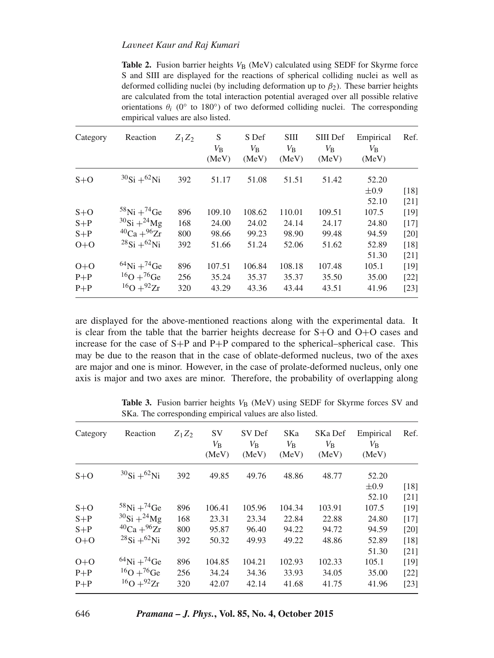#### *La*v*neet Kaur and Raj Kumari*

**Table 2.** Fusion barrier heights  $V_B$  (MeV) calculated using SEDF for Skyrme force S and SIII are displayed for the reactions of spherical colliding nuclei as well as deformed colliding nuclei (by including deformation up to  $\beta_2$ ). These barrier heights are calculated from the total interaction potential averaged over all possible relative orientations  $\theta_i$  (0° to 180°) of two deformed colliding nuclei. The corresponding empirical values are also listed.

| Category | Reaction                      | $Z_1Z_2$ | S<br>$V_{\rm B}$<br>(MeV) | S Def<br>$V_{\rm B}$<br>(MeV) | <b>SIII</b><br>$V_{\rm B}$<br>(MeV) | SIII Def<br>$V_{\rm B}$<br>(MeV) | Empirical<br>$V_{\rm B}$<br>(MeV) | Ref.   |
|----------|-------------------------------|----------|---------------------------|-------------------------------|-------------------------------------|----------------------------------|-----------------------------------|--------|
| $S+O$    | $^{30}Si + ^{62}Ni$           | 392      | 51.17                     | 51.08                         | 51.51                               | 51.42                            | 52.20                             |        |
|          |                               |          |                           |                               |                                     |                                  | $\pm 0.9$                         | [18]   |
|          |                               |          |                           |                               |                                     |                                  | 52.10                             | [21]   |
| $S+O$    | $^{58}$ Ni + $^{74}$ Ge       | 896      | 109.10                    | 108.62                        | 110.01                              | 109.51                           | 107.5                             | [19]   |
| $S+P$    | $^{30}Si + ^{24}Mg$           | 168      | 24.00                     | 24.02                         | 24.14                               | 24.17                            | 24.80                             | $[17]$ |
| $S+P$    | ${}^{40}Ca + {}^{96}Zr$       | 800      | 98.66                     | 99.23                         | 98.90                               | 99.48                            | 94.59                             | [20]   |
| $O+O$    | $^{28}Si + ^{62}Ni$           | 392      | 51.66                     | 51.24                         | 52.06                               | 51.62                            | 52.89                             | [18]   |
|          |                               |          |                           |                               |                                     |                                  | 51.30                             | $[21]$ |
| $O+O$    | $^{64}$ Ni + <sup>74</sup> Ge | 896      | 107.51                    | 106.84                        | 108.18                              | 107.48                           | 105.1                             | [19]   |
| $P+P$    | $^{16}O+^{76}Ge$              | 256      | 35.24                     | 35.37                         | 35.37                               | 35.50                            | 35.00                             | [22]   |
| $P+P$    | $^{16}O+^{92}Zr$              | 320      | 43.29                     | 43.36                         | 43.44                               | 43.51                            | 41.96                             | [23]   |

are displayed for the above-mentioned reactions along with the experimental data. It is clear from the table that the barrier heights decrease for S+O and O+O cases and increase for the case of S+P and P+P compared to the spherical–spherical case. This may be due to the reason that in the case of oblate-deformed nucleus, two of the axes are major and one is minor. However, in the case of prolate-deformed nucleus, only one axis is major and two axes are minor. Therefore, the probability of overlapping along

| Category | Reaction                              | $Z_1Z_2$ | <b>SV</b><br>$V_{\rm B}$<br>(MeV) | SV Def<br>$V_{\rm B}$<br>(MeV) | SKa<br>$V_{\rm B}$<br>(MeV) | SKa Def<br>$V_{\rm B}$<br>(MeV) | Empirical<br>$V_{\rm B}$<br>(MeV) | Ref.   |
|----------|---------------------------------------|----------|-----------------------------------|--------------------------------|-----------------------------|---------------------------------|-----------------------------------|--------|
| $S+O$    | $^{30}Si + ^{62}Ni$                   | 392      | 49.85                             | 49.76                          | 48.86                       | 48.77                           | 52.20                             |        |
|          |                                       |          |                                   |                                |                             |                                 | $\pm 0.9$                         | $[18]$ |
|          |                                       |          |                                   |                                |                             |                                 | 52.10                             | [21]   |
| $S+O$    | $^{58}$ Ni + $^{74}$ Ge               | 896      | 106.41                            | 105.96                         | 104.34                      | 103.91                          | 107.5                             | [19]   |
| $S+P$    | $^{30}Si + ^{24}Mg$                   | 168      | 23.31                             | 23.34                          | 22.84                       | 22.88                           | 24.80                             | $[17]$ |
| $S + P$  | ${}^{40}Ca + {}^{96}Zr$               | 800      | 95.87                             | 96.40                          | 94.22                       | 94.72                           | 94.59                             | [20]   |
| $O+O$    | $^{28}Si + ^{62}Ni$                   | 392      | 50.32                             | 49.93                          | 49.22                       | 48.86                           | 52.89                             | [18]   |
|          |                                       |          |                                   |                                |                             |                                 | 51.30                             | $[21]$ |
| $O+O$    | ${}^{64}\text{Ni} + {}^{74}\text{Ge}$ | 896      | 104.85                            | 104.21                         | 102.93                      | 102.33                          | 105.1                             | $[19]$ |
| $P+P$    | $16O+76Ge$                            | 256      | 34.24                             | 34.36                          | 33.93                       | 34.05                           | 35.00                             | $[22]$ |
| $P + P$  | $^{16}O + ^{92}Zr$                    | 320      | 42.07                             | 42.14                          | 41.68                       | 41.75                           | 41.96                             | $[23]$ |

**Table 3.** Fusion barrier heights  $V_B$  (MeV) using SEDF for Skyrme forces SV and SKa. The corresponding empirical values are also listed.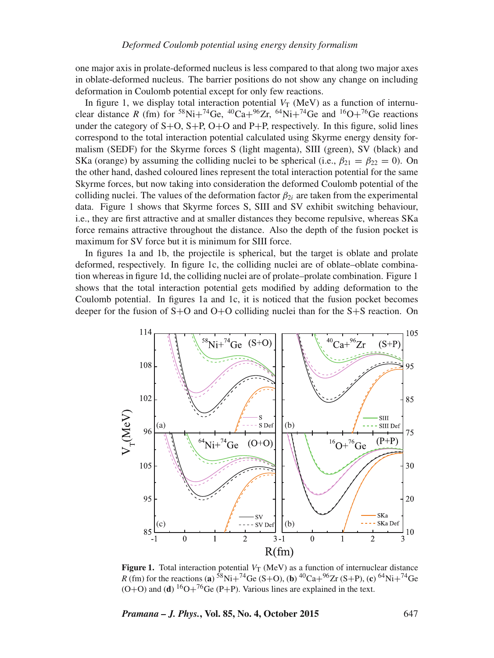one major axis in prolate-deformed nucleus is less compared to that along two major axes in oblate-deformed nucleus. The barrier positions do not show any change on including deformation in Coulomb potential except for only few reactions.

In figure 1, we display total interaction potential  $V_T$  (MeV) as a function of internuclear distance *R* (fm) for <sup>58</sup>Ni+<sup>74</sup>Ge, <sup>40</sup>Ca+<sup>96</sup>Zr, <sup>64</sup>Ni+<sup>74</sup>Ge and <sup>16</sup>O+<sup>76</sup>Ge reactions under the category of  $S+O$ ,  $S+P$ ,  $O+O$  and  $P+P$ , respectively. In this figure, solid lines correspond to the total interaction potential calculated using Skyrme energy density formalism (SEDF) for the Skyrme forces S (light magenta), SIII (green), SV (black) and SKa (orange) by assuming the colliding nuclei to be spherical (i.e.,  $\beta_{21} = \beta_{22} = 0$ ). On the other hand, dashed coloured lines represent the total interaction potential for the same Skyrme forces, but now taking into consideration the deformed Coulomb potential of the colliding nuclei. The values of the deformation factor  $\beta_{2i}$  are taken from the experimental data. Figure 1 shows that Skyrme forces S, SIII and SV exhibit switching behaviour, i.e., they are first attractive and at smaller distances they become repulsive, whereas SKa force remains attractive throughout the distance. Also the depth of the fusion pocket is maximum for SV force but it is minimum for SIII force.

In figures 1a and 1b, the projectile is spherical, but the target is oblate and prolate deformed, respectively. In figure 1c, the colliding nuclei are of oblate–oblate combination whereas in figure 1d, the colliding nuclei are of prolate–prolate combination. Figure 1 shows that the total interaction potential gets modified by adding deformation to the Coulomb potential. In figures 1a and 1c, it is noticed that the fusion pocket becomes deeper for the fusion of S+O and O+O colliding nuclei than for the S+S reaction. On



**Figure 1.** Total interaction potential  $V_T$  (MeV) as a function of internuclear distance *R* (fm) for the reactions (**a**)  ${}^{58}$ Ni+<sup>74</sup>Ge (S+O), (**b**)  ${}^{40}$ Ca+ ${}^{96}$ Zr (S+P), (**c**)  ${}^{64}$ Ni+<sup>74</sup>Ge  $(O+O)$  and (**d**) <sup>16</sup>O+<sup>76</sup>Ge (P+P). Various lines are explained in the text.

*Pramana – J. Phys.***, Vol. 85, No. 4, October 2015** 647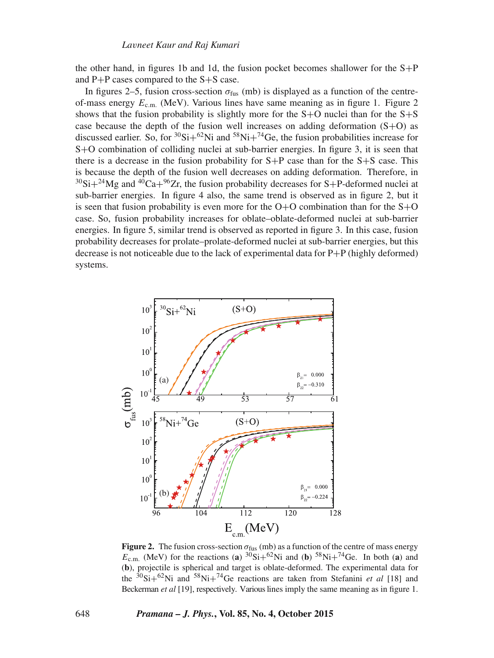the other hand, in figures 1b and 1d, the fusion pocket becomes shallower for the  $S+P$ and P+P cases compared to the S+S case.

In figures 2–5, fusion cross-section  $\sigma_{\text{fus}}$  (mb) is displayed as a function of the centreof-mass energy  $E_{\text{c.m.}}$  (MeV). Various lines have same meaning as in figure 1. Figure 2 shows that the fusion probability is slightly more for the  $S+O$  nuclei than for the  $S+S$ case because the depth of the fusion well increases on adding deformation  $(S+O)$  as discussed earlier. So, for  ${}^{30}Si+{}^{62}Ni$  and  ${}^{58}Ni+{}^{74}Ge$ , the fusion probabilities increase for S+O combination of colliding nuclei at sub-barrier energies. In figure 3, it is seen that there is a decrease in the fusion probability for  $S+P$  case than for the  $S+S$  case. This is because the depth of the fusion well decreases on adding deformation. Therefore, in  $30$ Si+ $24$ Mg and  $40Ca+96Zr$ , the fusion probability decreases for S+P-deformed nuclei at sub-barrier energies. In figure 4 also, the same trend is observed as in figure 2, but it is seen that fusion probability is even more for the  $O+O$  combination than for the  $S+O$ case. So, fusion probability increases for oblate–oblate-deformed nuclei at sub-barrier energies. In figure 5, similar trend is observed as reported in figure 3. In this case, fusion probability decreases for prolate–prolate-deformed nuclei at sub-barrier energies, but this decrease is not noticeable due to the lack of experimental data for P+P (highly deformed) systems.



**Figure 2.** The fusion cross-section  $\sigma_{\text{fus}}$  (mb) as a function of the centre of mass energy  $E_{\text{c.m.}}$  (MeV) for the reactions (**a**)  ${}^{30}\text{Si}+{}^{62}\text{Ni}$  and (**b**)  ${}^{58}\text{Ni}+{}^{74}\text{Ge.}$  In both (**a**) and (**b**), projectile is spherical and target is oblate-deformed. The experimental data for the  $30\text{Si}+62\text{Ni}$  and  $58\text{Ni}+74\text{Ge}$  reactions are taken from Stefanini *et al* [18] and Beckerman *et al* [19], respectively. Various lines imply the same meaning as in figure 1.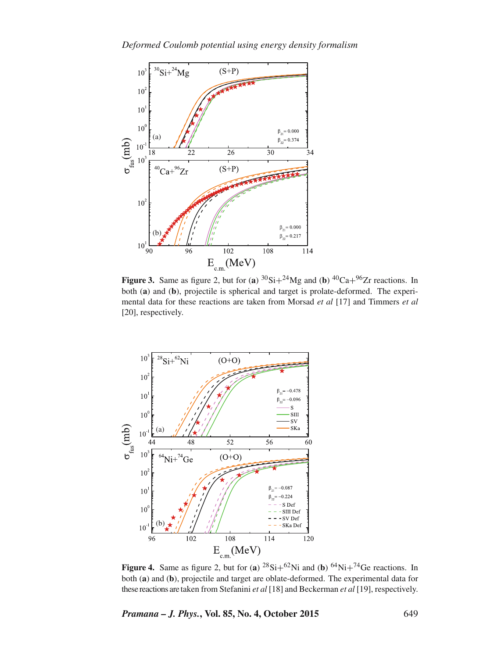

**Figure 3.** Same as figure 2, but for (**a**)  ${}^{30}Si+{}^{24}Mg$  and (**b**)  ${}^{40}Ca+{}^{96}Zr$  reactions. In both (**a**) and (**b**), projectile is spherical and target is prolate-deformed. The experimental data for these reactions are taken from Morsad *et al* [17] and Timmers *et al* [20], respectively.



**Figure 4.** Same as figure 2, but for (**a**)  ${}^{28}\text{Si}+{}^{62}\text{Ni}$  and (**b**)  ${}^{64}\text{Ni}+{}^{74}\text{Ge}$  reactions. In both (**a**) and (**b**), projectile and target are oblate-deformed. The experimental data for these reactions are taken from Stefanini *et al* [18] and Beckerman *et al* [19], respectively.

*Pramana – J. Phys.***, Vol. 85, No. 4, October 2015** 649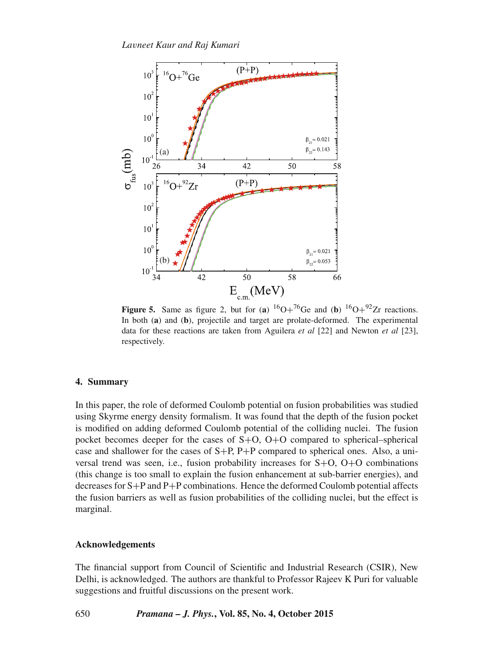

**Figure 5.** Same as figure 2, but for (**a**)  ${}^{16}O+{}^{76}Ge$  and (**b**)  ${}^{16}O+{}^{92}Zr$  reactions. In both (**a**) and (**b**), projectile and target are prolate-deformed. The experimental data for these reactions are taken from Aguilera *et al* [22] and Newton *et al* [23], respectively.

#### **4. Summary**

In this paper, the role of deformed Coulomb potential on fusion probabilities was studied using Skyrme energy density formalism. It was found that the depth of the fusion pocket is modified on adding deformed Coulomb potential of the colliding nuclei. The fusion pocket becomes deeper for the cases of  $S+O$ ,  $O+O$  compared to spherical–spherical case and shallower for the cases of  $S+P$ ,  $P+P$  compared to spherical ones. Also, a universal trend was seen, i.e., fusion probability increases for S+O, O+O combinations (this change is too small to explain the fusion enhancement at sub-barrier energies), and decreases for S+P and P+P combinations. Hence the deformed Coulomb potential affects the fusion barriers as well as fusion probabilities of the colliding nuclei, but the effect is marginal.

#### **Acknowledgements**

The financial support from Council of Scientific and Industrial Research (CSIR), New Delhi, is acknowledged. The authors are thankful to Professor Rajeev K Puri for valuable suggestions and fruitful discussions on the present work.